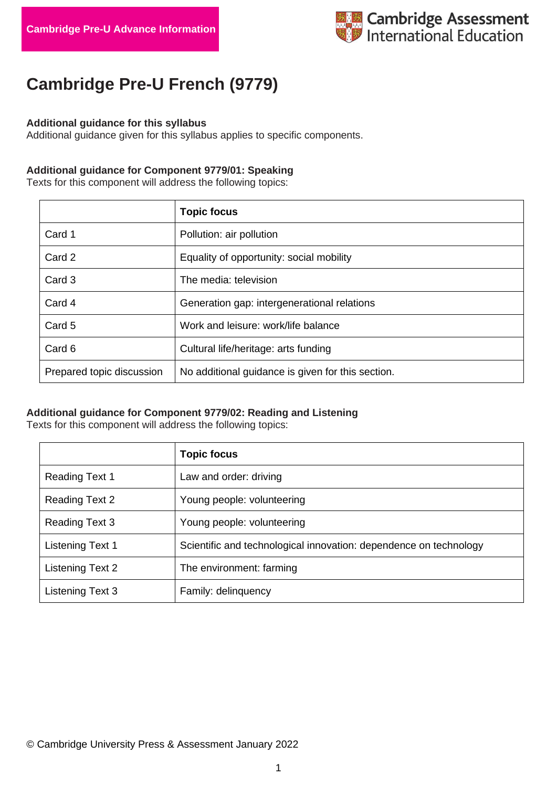# **Cambridge Pre-U French (9779)**

#### **Additional guidance for this syllabus**

Additional guidance given for this syllabus applies to specific components.

### **Additional guidance for Component 9779/01: Speaking**

Texts for this component will address the following topics:

|                           | <b>Topic focus</b>                                |
|---------------------------|---------------------------------------------------|
| Card 1                    | Pollution: air pollution                          |
| Card 2                    | Equality of opportunity: social mobility          |
| Card 3                    | The media: television                             |
| Card 4                    | Generation gap: intergenerational relations       |
| Card 5                    | Work and leisure: work/life balance               |
| Card 6                    | Cultural life/heritage: arts funding              |
| Prepared topic discussion | No additional guidance is given for this section. |

# **Additional guidance for Component 9779/02: Reading and Listening**

Texts for this component will address the following topics:

|                         | <b>Topic focus</b>                                                |
|-------------------------|-------------------------------------------------------------------|
| <b>Reading Text 1</b>   | Law and order: driving                                            |
| Reading Text 2          | Young people: volunteering                                        |
| <b>Reading Text 3</b>   | Young people: volunteering                                        |
| <b>Listening Text 1</b> | Scientific and technological innovation: dependence on technology |
| Listening Text 2        | The environment: farming                                          |
| Listening Text 3        | Family: delinquency                                               |